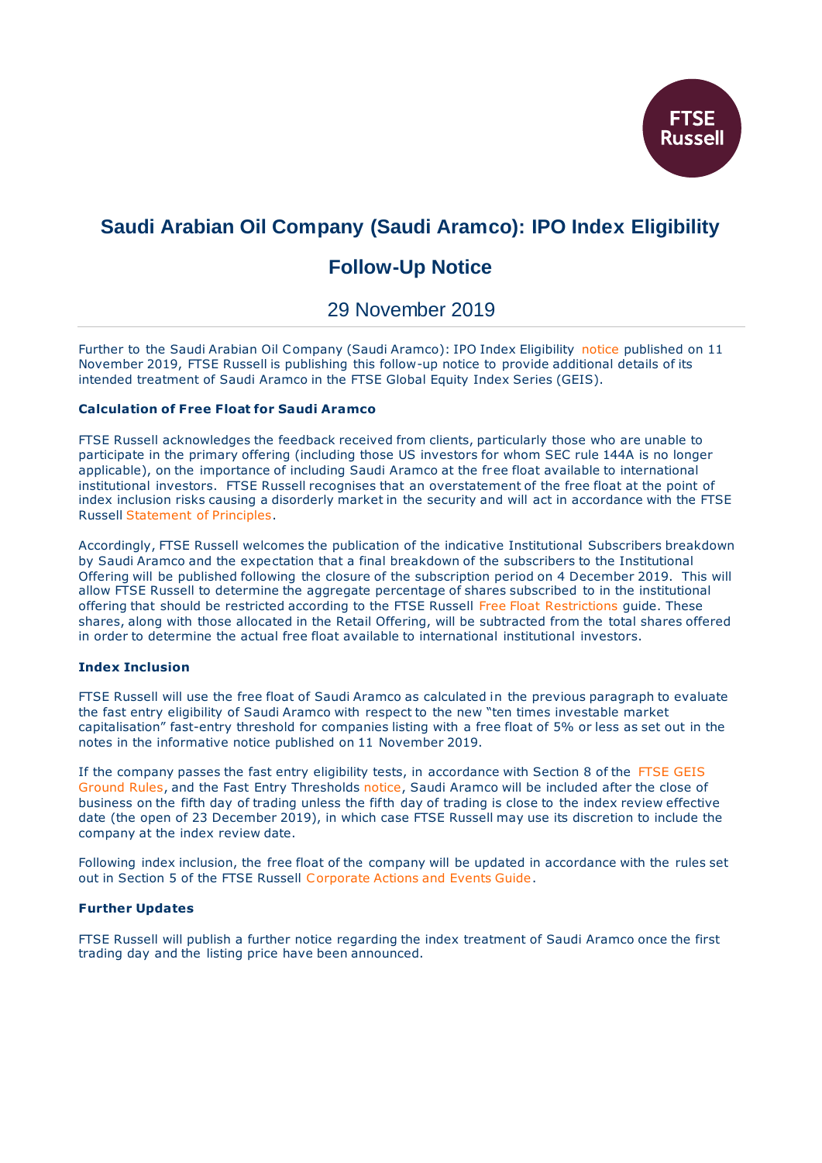

# **Saudi Arabian Oil Company (Saudi Aramco): IPO Index Eligibility**

# **Follow-Up Notice**

29 November 2019

Further to the Saudi Arabian Oil Company (Saudi Aramco): IPO Index Eligibility [notice](https://research.ftserussell.com/products/index-notices/home/getnotice/?id=2594521) published on 11 November 2019, FTSE Russell is publishing this follow-up notice to provide additional details of its intended treatment of Saudi Aramco in the FTSE Global Equity Index Series (GEIS).

## **Calculation of Free Float for Saudi Aramco**

FTSE Russell acknowledges the feedback received from clients, particularly those who are unable to participate in the primary offering (including those US investors for whom SEC rule 144A is no longer applicable), on the importance of including Saudi Aramco at the free float available to international institutional investors. FTSE Russell recognises that an overstatement of the free float at the point of index inclusion risks causing a disorderly market in the security and will act in accordance with the FTSE Russell [Statement of Principles.](https://research.ftserussell.com/products/downloads/Statement_of_Principles.pdf)

Accordingly, FTSE Russell welcomes the publication of the indicative Institutional Subscribers breakdown by Saudi Aramco and the expectation that a final breakdown of the subscribers to the Institutional Offering will be published following the closure of the subscription period on 4 December 2019. This will allow FTSE Russell to determine the aggregate percentage of shares subscribed to in the institutional offering that should be restricted according to the FTSE Russell [Free Float Restrictions](https://research.ftserussell.com/products/downloads/Free_Float_Restrictions.pdf) guide. These shares, along with those allocated in the Retail Offering, will be subtracted from the total shares offered in order to determine the actual free float available to international institutional investors.

### **Index Inclusion**

FTSE Russell will use the free float of Saudi Aramco as calculated in the previous paragraph to evaluate the fast entry eligibility of Saudi Aramco with respect to the new "ten times investable market capitalisation" fast-entry threshold for companies listing with a free float of 5% or less as set out in the notes in the informative notice published on 11 November 2019.

If the company passes the fast entry eligibility tests, in accordance with Section 8 of the [FTSE GEIS](https://research.ftserussell.com/products/downloads/FTSE_Global_Equity_Index_Series.pdf)  [Ground Rules,](https://research.ftserussell.com/products/downloads/FTSE_Global_Equity_Index_Series.pdf) and the Fast Entry Thresholds [notice,](https://research.ftserussell.com/products/index-notices/home/getnotice/?id=2594673) Saudi Aramco will be included after the close of business on the fifth day of trading unless the fifth day of trading is close to the index review effective date (the open of 23 December 2019), in which case FTSE Russell may use its discretion to include the company at the index review date.

Following index inclusion, the free float of the company will be updated in accordance with the rules set out in Section 5 of the FTSE Russell [Corporate Actions and Events Guide.](https://research.ftserussell.com/products/downloads/Corporate_Actions_and_Events_Guide.pdf)

### **Further Updates**

FTSE Russell will publish a further notice regarding the index treatment of Saudi Aramco once the first trading day and the listing price have been announced.